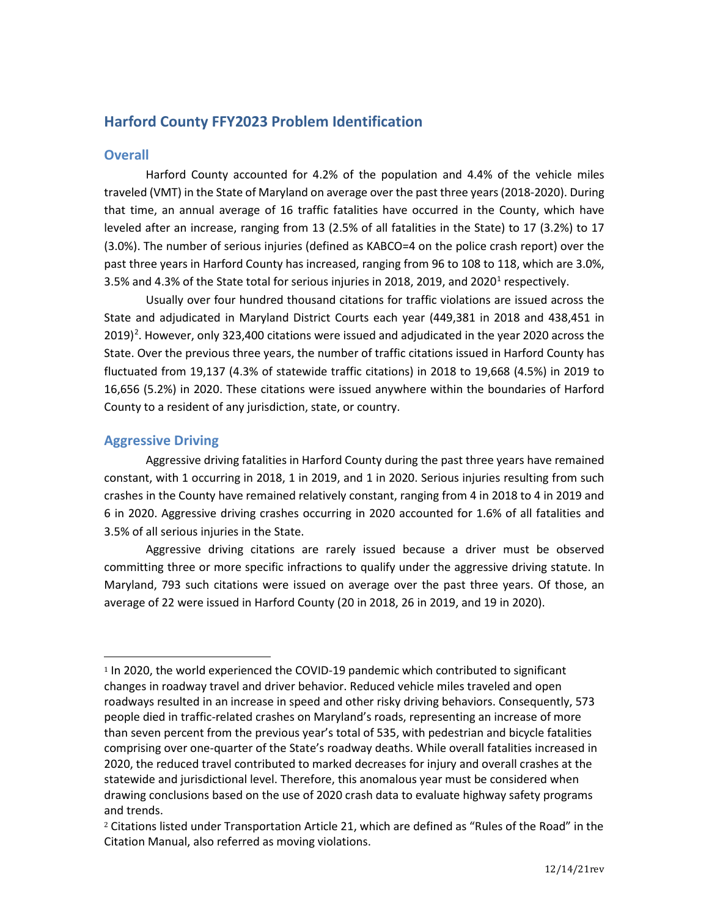# **Harford County FFY2023 Problem Identification**

# **Overall**

Harford County accounted for 4.2% of the population and 4.4% of the vehicle miles traveled (VMT) in the State of Maryland on average over the past three years (2018-2020). During that time, an annual average of 16 traffic fatalities have occurred in the County, which have leveled after an increase, ranging from 13 (2.5% of all fatalities in the State) to 17 (3.2%) to 17 (3.0%). The number of serious injuries (defined as KABCO=4 on the police crash report) over the past three years in Harford County has increased, ranging from 96 to 108 to 118, which are 3.0%, 3.5% and 4.3% of the State total for serious injuries in 20[1](#page-0-0)8, 2019, and 2020 $^1$  respectively.

Usually over four hundred thousand citations for traffic violations are issued across the State and adjudicated in Maryland District Courts each year (449,381 in 2018 and 438,451 in  $2019)$  $2019)$ <sup>2</sup>. However, only 323,400 citations were issued and adjudicated in the year 2020 across the State. Over the previous three years, the number of traffic citations issued in Harford County has fluctuated from 19,137 (4.3% of statewide traffic citations) in 2018 to 19,668 (4.5%) in 2019 to 16,656 (5.2%) in 2020. These citations were issued anywhere within the boundaries of Harford County to a resident of any jurisdiction, state, or country.

# **Aggressive Driving**

Aggressive driving fatalities in Harford County during the past three years have remained constant, with 1 occurring in 2018, 1 in 2019, and 1 in 2020. Serious injuries resulting from such crashes in the County have remained relatively constant, ranging from 4 in 2018 to 4 in 2019 and 6 in 2020. Aggressive driving crashes occurring in 2020 accounted for 1.6% of all fatalities and 3.5% of all serious injuries in the State.

Aggressive driving citations are rarely issued because a driver must be observed committing three or more specific infractions to qualify under the aggressive driving statute. In Maryland, 793 such citations were issued on average over the past three years. Of those, an average of 22 were issued in Harford County (20 in 2018, 26 in 2019, and 19 in 2020).

<span id="page-0-0"></span><sup>1</sup> In 2020, the world experienced the COVID-19 pandemic which contributed to significant changes in roadway travel and driver behavior. Reduced vehicle miles traveled and open roadways resulted in an increase in speed and other risky driving behaviors. Consequently, 573 people died in traffic-related crashes on Maryland's roads, representing an increase of more than seven percent from the previous year's total of 535, with pedestrian and bicycle fatalities comprising over one-quarter of the State's roadway deaths. While overall fatalities increased in 2020, the reduced travel contributed to marked decreases for injury and overall crashes at the statewide and jurisdictional level. Therefore, this anomalous year must be considered when drawing conclusions based on the use of 2020 crash data to evaluate highway safety programs and trends.

<span id="page-0-1"></span><sup>2</sup> Citations listed under Transportation Article 21, which are defined as "Rules of the Road" in the Citation Manual, also referred as moving violations.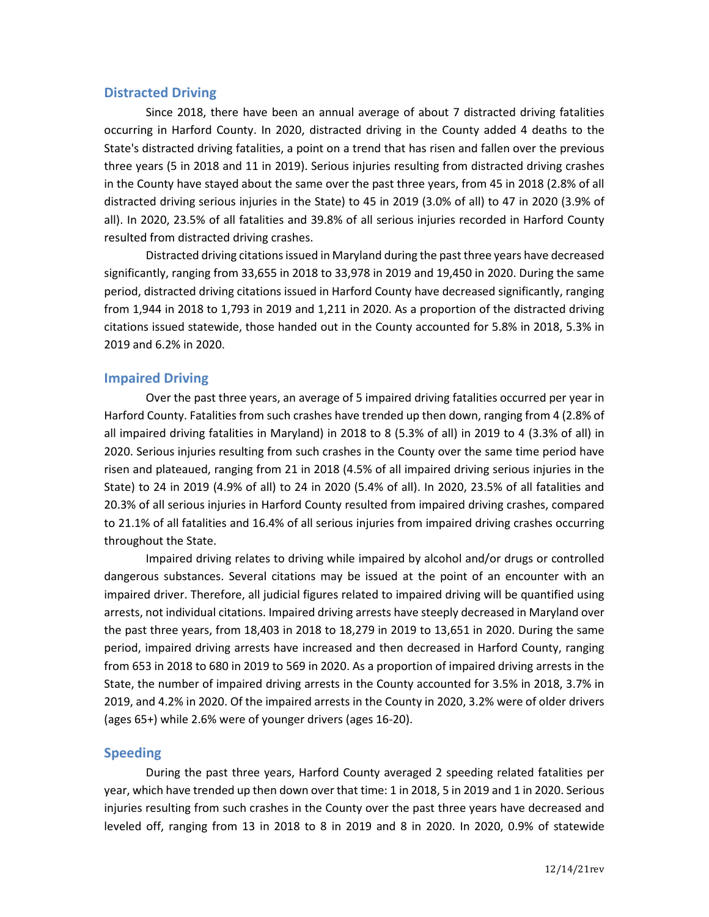### **Distracted Driving**

Since 2018, there have been an annual average of about 7 distracted driving fatalities occurring in Harford County. In 2020, distracted driving in the County added 4 deaths to the State's distracted driving fatalities, a point on a trend that has risen and fallen over the previous three years (5 in 2018 and 11 in 2019). Serious injuries resulting from distracted driving crashes in the County have stayed about the same over the past three years, from 45 in 2018 (2.8% of all distracted driving serious injuries in the State) to 45 in 2019 (3.0% of all) to 47 in 2020 (3.9% of all). In 2020, 23.5% of all fatalities and 39.8% of all serious injuries recorded in Harford County resulted from distracted driving crashes.

Distracted driving citations issued in Maryland during the past three years have decreased significantly, ranging from 33,655 in 2018 to 33,978 in 2019 and 19,450 in 2020. During the same period, distracted driving citations issued in Harford County have decreased significantly, ranging from 1,944 in 2018 to 1,793 in 2019 and 1,211 in 2020. As a proportion of the distracted driving citations issued statewide, those handed out in the County accounted for 5.8% in 2018, 5.3% in 2019 and 6.2% in 2020.

### **Impaired Driving**

Over the past three years, an average of 5 impaired driving fatalities occurred per year in Harford County. Fatalities from such crashes have trended up then down, ranging from 4 (2.8% of all impaired driving fatalities in Maryland) in 2018 to 8 (5.3% of all) in 2019 to 4 (3.3% of all) in 2020. Serious injuries resulting from such crashes in the County over the same time period have risen and plateaued, ranging from 21 in 2018 (4.5% of all impaired driving serious injuries in the State) to 24 in 2019 (4.9% of all) to 24 in 2020 (5.4% of all). In 2020, 23.5% of all fatalities and 20.3% of all serious injuries in Harford County resulted from impaired driving crashes, compared to 21.1% of all fatalities and 16.4% of all serious injuries from impaired driving crashes occurring throughout the State.

Impaired driving relates to driving while impaired by alcohol and/or drugs or controlled dangerous substances. Several citations may be issued at the point of an encounter with an impaired driver. Therefore, all judicial figures related to impaired driving will be quantified using arrests, not individual citations. Impaired driving arrests have steeply decreased in Maryland over the past three years, from 18,403 in 2018 to 18,279 in 2019 to 13,651 in 2020. During the same period, impaired driving arrests have increased and then decreased in Harford County, ranging from 653 in 2018 to 680 in 2019 to 569 in 2020. As a proportion of impaired driving arrests in the State, the number of impaired driving arrests in the County accounted for 3.5% in 2018, 3.7% in 2019, and 4.2% in 2020. Of the impaired arrests in the County in 2020, 3.2% were of older drivers (ages 65+) while 2.6% were of younger drivers (ages 16-20).

#### **Speeding**

During the past three years, Harford County averaged 2 speeding related fatalities per year, which have trended up then down over that time: 1 in 2018, 5 in 2019 and 1 in 2020. Serious injuries resulting from such crashes in the County over the past three years have decreased and leveled off, ranging from 13 in 2018 to 8 in 2019 and 8 in 2020. In 2020, 0.9% of statewide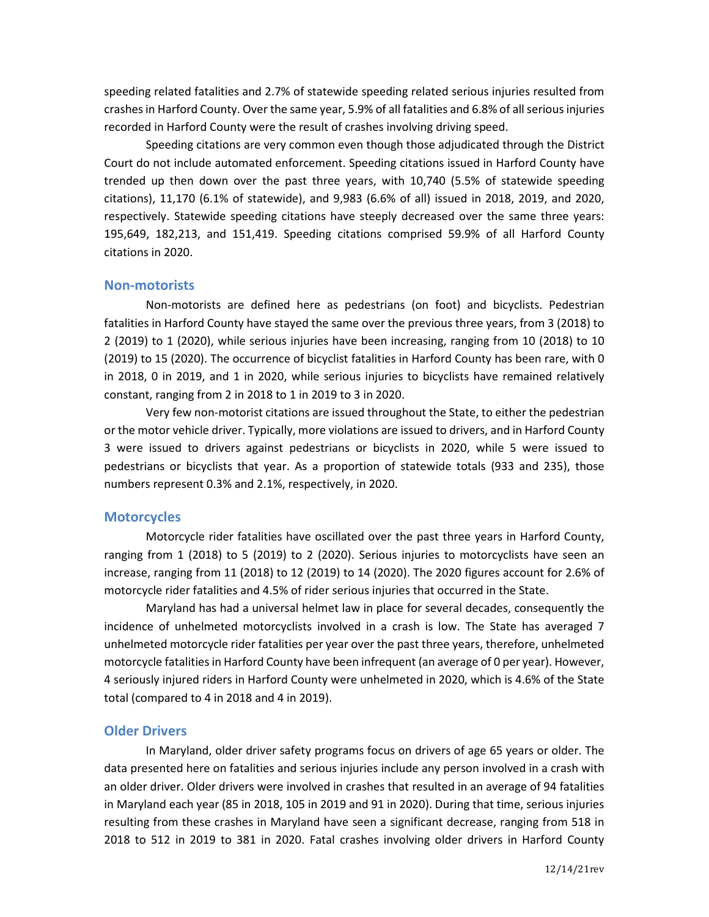speeding related fatalities and 2.7% of statewide speeding related serious injuries resulted from crashes in Harford County. Over the same year, 5.9% of all fatalities and 6.8% of all serious injuries recorded in Harford County were the result of crashes involving driving speed.

Speeding citations are very common even though those adjudicated through the District Court do not include automated enforcement. Speeding citations issued in Harford County have trended up then down over the past three years, with 10,740 (5.5% of statewide speeding citations), 11,170 (6.1% of statewide), and 9,983 (6.6% of all) issued in 2018, 2019, and 2020, respectively. Statewide speeding citations have steeply decreased over the same three years: 195,649, 182,213, and 151,419. Speeding citations comprised 59.9% of all Harford County citations in 2020.

### **Non-motorists**

Non-motorists are defined here as pedestrians (on foot) and bicyclists. Pedestrian fatalities in Harford County have stayed the same over the previous three years, from 3 (2018) to 2 (2019) to 1 (2020), while serious injuries have been increasing, ranging from 10 (2018) to 10 (2019) to 15 (2020). The occurrence of bicyclist fatalities in Harford County has been rare, with 0 in 2018, 0 in 2019, and 1 in 2020, while serious injuries to bicyclists have remained relatively constant, ranging from 2 in 2018 to 1 in 2019 to 3 in 2020.

Very few non-motorist citations are issued throughout the State, to either the pedestrian or the motor vehicle driver. Typically, more violations are issued to drivers, and in Harford County 3 were issued to drivers against pedestrians or bicyclists in 2020, while 5 were issued to pedestrians or bicyclists that year. As a proportion of statewide totals (933 and 235), those numbers represent 0.3% and 2.1%, respectively, in 2020.

#### **Motorcycles**

Motorcycle rider fatalities have oscillated over the past three years in Harford County, ranging from 1 (2018) to 5 (2019) to 2 (2020). Serious injuries to motorcyclists have seen an increase, ranging from 11 (2018) to 12 (2019) to 14 (2020). The 2020 figures account for 2.6% of motorcycle rider fatalities and 4.5% of rider serious injuries that occurred in the State.

Maryland has had a universal helmet law in place for several decades, consequently the incidence of unhelmeted motorcyclists involved in a crash is low. The State has averaged 7 unhelmeted motorcycle rider fatalities per year over the past three years, therefore, unhelmeted motorcycle fatalities in Harford County have been infrequent (an average of 0 per year). However, 4 seriously injured riders in Harford County were unhelmeted in 2020, which is 4.6% of the State total (compared to 4 in 2018 and 4 in 2019).

#### **Older Drivers**

In Maryland, older driver safety programs focus on drivers of age 65 years or older. The data presented here on fatalities and serious injuries include any person involved in a crash with an older driver. Older drivers were involved in crashes that resulted in an average of 94 fatalities in Maryland each year (85 in 2018, 105 in 2019 and 91 in 2020). During that time, serious injuries resulting from these crashes in Maryland have seen a significant decrease, ranging from 518 in 2018 to 512 in 2019 to 381 in 2020. Fatal crashes involving older drivers in Harford County